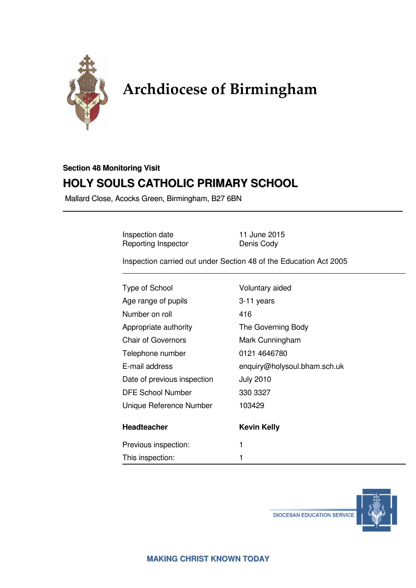

# Archdiocese of Birmingham

# **Section 48 Monitoring Visit HOLY SOULS CATHOLIC PRIMARY SCHOOL**

Mallard Close, Acocks Green, Birmingham, B27 6BN

Inspection date 11 June 2015 Reporting Inspector **Denis Cody** 

Inspection carried out under Section 48 of the Education Act 2005

| <b>Type of School</b>       | Voluntary aided              |
|-----------------------------|------------------------------|
| Age range of pupils         | 3-11 years                   |
| Number on roll              | 416                          |
| Appropriate authority       | The Governing Body           |
| <b>Chair of Governors</b>   | Mark Cunningham              |
| Telephone number            | 0121 4646780                 |
| E-mail address              | enquiry@holysoul.bham.sch.uk |
| Date of previous inspection | <b>July 2010</b>             |
| <b>DFE School Number</b>    | 330 3327                     |
| Unique Reference Number     | 103429                       |
| <b>Headteacher</b>          | <b>Kevin Kelly</b>           |
| Previous inspection:        | 1                            |
| This inspection:            |                              |



**DIOCESAN EDUCATION SERVICE**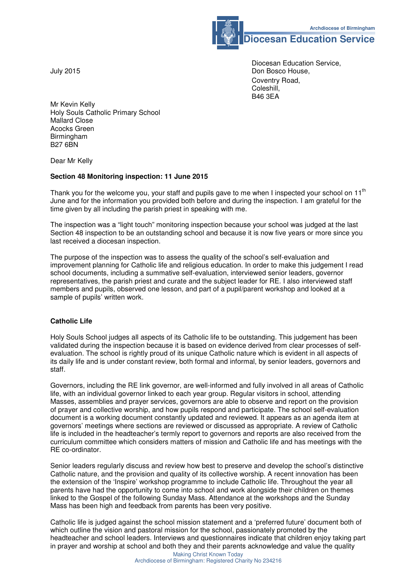

**Diocesan Education Service** 

 Diocesan Education Service, Don Bosco House, Coventry Road, Coleshill,<br>B46 3EA B46 3EA

Mr Kevin Kelly Holy Souls Catholic Primary School Mallard Close Acocks Green Birmingham B27 6BN

Dear Mr Kelly

#### **Section 48 Monitoring inspection: 11 June 2015**

Thank you for the welcome you, your staff and pupils gave to me when I inspected your school on  $11<sup>th</sup>$ June and for the information you provided both before and during the inspection. I am grateful for the time given by all including the parish priest in speaking with me.

The inspection was a "light touch" monitoring inspection because your school was judged at the last Section 48 inspection to be an outstanding school and because it is now five years or more since you last received a diocesan inspection.

The purpose of the inspection was to assess the quality of the school's self-evaluation and improvement planning for Catholic life and religious education. In order to make this judgement I read school documents, including a summative self-evaluation, interviewed senior leaders, governor representatives, the parish priest and curate and the subject leader for RE. I also interviewed staff members and pupils, observed one lesson, and part of a pupil/parent workshop and looked at a sample of pupils' written work.

#### **Catholic Life**

Holy Souls School judges all aspects of its Catholic life to be outstanding. This judgement has been validated during the inspection because it is based on evidence derived from clear processes of selfevaluation. The school is rightly proud of its unique Catholic nature which is evident in all aspects of its daily life and is under constant review, both formal and informal, by senior leaders, governors and staff.

Governors, including the RE link governor, are well-informed and fully involved in all areas of Catholic life, with an individual governor linked to each year group. Regular visitors in school, attending Masses, assemblies and prayer services, governors are able to observe and report on the provision of prayer and collective worship, and how pupils respond and participate. The school self-evaluation document is a working document constantly updated and reviewed. It appears as an agenda item at governors' meetings where sections are reviewed or discussed as appropriate. A review of Catholic life is included in the headteacher's termly report to governors and reports are also received from the curriculum committee which considers matters of mission and Catholic life and has meetings with the RE co-ordinator.

Senior leaders regularly discuss and review how best to preserve and develop the school's distinctive Catholic nature, and the provision and quality of its collective worship. A recent innovation has been the extension of the 'Inspire' workshop programme to include Catholic life. Throughout the year all parents have had the opportunity to come into school and work alongside their children on themes linked to the Gospel of the following Sunday Mass. Attendance at the workshops and the Sunday Mass has been high and feedback from parents has been very positive.

Catholic life is judged against the school mission statement and a 'preferred future' document both of which outline the vision and pastoral mission for the school, passionately promoted by the headteacher and school leaders. Interviews and questionnaires indicate that children enjoy taking part in prayer and worship at school and both they and their parents acknowledge and value the quality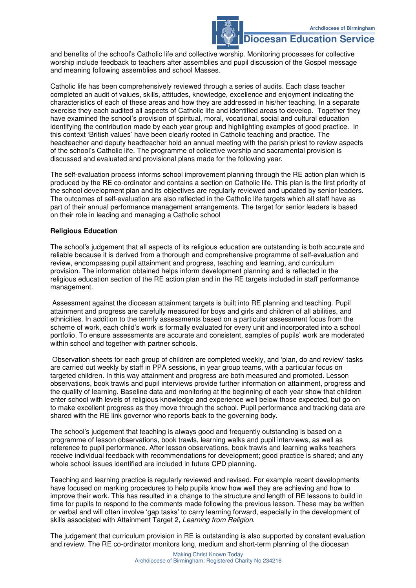### **Diocesan Education Service**

and benefits of the school's Catholic life and collective worship. Monitoring processes for collective worship include feedback to teachers after assemblies and pupil discussion of the Gospel message and meaning following assemblies and school Masses.

Catholic life has been comprehensively reviewed through a series of audits. Each class teacher completed an audit of values, skills, attitudes, knowledge, excellence and enjoyment indicating the characteristics of each of these areas and how they are addressed in his/her teaching. In a separate exercise they each audited all aspects of Catholic life and identified areas to develop. Together they have examined the school's provision of spiritual, moral, vocational, social and cultural education identifying the contribution made by each year group and highlighting examples of good practice. In this context 'British values' have been clearly rooted in Catholic teaching and practice. The headteacher and deputy headteacher hold an annual meeting with the parish priest to review aspects of the school's Catholic life. The programme of collective worship and sacramental provision is discussed and evaluated and provisional plans made for the following year.

The self-evaluation process informs school improvement planning through the RE action plan which is produced by the RE co-ordinator and contains a section on Catholic life. This plan is the first priority of the school development plan and its objectives are regularly reviewed and updated by senior leaders. The outcomes of self-evaluation are also reflected in the Catholic life targets which all staff have as part of their annual performance management arrangements. The target for senior leaders is based on their role in leading and managing a Catholic school

#### **Religious Education**

The school's judgement that all aspects of its religious education are outstanding is both accurate and reliable because it is derived from a thorough and comprehensive programme of self-evaluation and review, encompassing pupil attainment and progress, teaching and learning, and curriculum provision. The information obtained helps inform development planning and is reflected in the religious education section of the RE action plan and in the RE targets included in staff performance management.

 Assessment against the diocesan attainment targets is built into RE planning and teaching. Pupil attainment and progress are carefully measured for boys and girls and children of all abilities, and ethnicities. In addition to the termly assessments based on a particular assessment focus from the scheme of work, each child's work is formally evaluated for every unit and incorporated into a school portfolio. To ensure assessments are accurate and consistent, samples of pupils' work are moderated within school and together with partner schools.

 Observation sheets for each group of children are completed weekly, and 'plan, do and review' tasks are carried out weekly by staff in PPA sessions, in year group teams, with a particular focus on targeted children. In this way attainment and progress are both measured and promoted. Lesson observations, book trawls and pupil interviews provide further information on attainment, progress and the quality of learning. Baseline data and monitoring at the beginning of each year show that children enter school with levels of religious knowledge and experience well below those expected, but go on to make excellent progress as they move through the school. Pupil performance and tracking data are shared with the RE link governor who reports back to the governing body.

The school's judgement that teaching is always good and frequently outstanding is based on a programme of lesson observations, book trawls, learning walks and pupil interviews, as well as reference to pupil performance. After lesson observations, book trawls and learning walks teachers receive individual feedback with recommendations for development; good practice is shared; and any whole school issues identified are included in future CPD planning.

Teaching and learning practice is regularly reviewed and revised. For example recent developments have focused on marking procedures to help pupils know how well they are achieving and how to improve their work. This has resulted in a change to the structure and length of RE lessons to build in time for pupils to respond to the comments made following the previous lesson. These may be written or verbal and will often involve 'gap tasks' to carry learning forward, especially in the development of skills associated with Attainment Target 2, Learning from Religion.

The judgement that curriculum provision in RE is outstanding is also supported by constant evaluation and review. The RE co-ordinator monitors long, medium and short-term planning of the diocesan